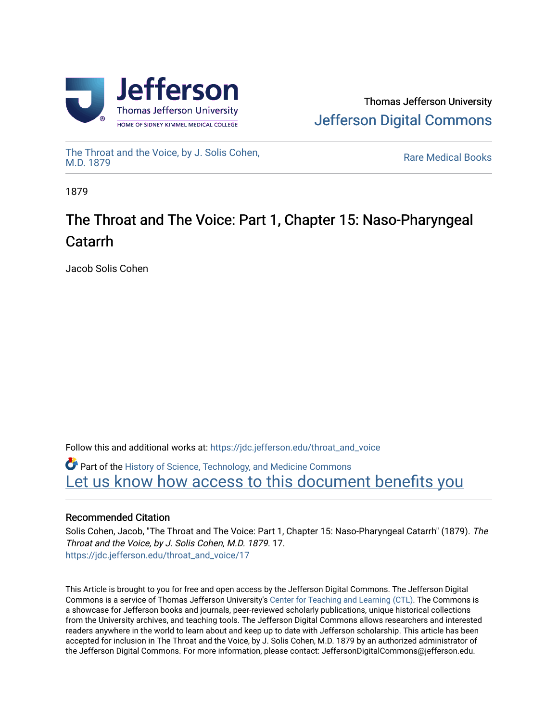

[The Throat and the Voice, by J. Solis Cohen,](https://jdc.jefferson.edu/throat_and_voice)

**Rare Medical Books** 

1879

# The Throat and The Voice: Part 1, Chapter 15: Naso-Pharyngeal Catarrh

Jacob Solis Cohen

Follow this and additional works at: [https://jdc.jefferson.edu/throat\\_and\\_voice](https://jdc.jefferson.edu/throat_and_voice?utm_source=jdc.jefferson.edu%2Fthroat_and_voice%2F17&utm_medium=PDF&utm_campaign=PDFCoverPages)

**P** Part of the History of Science, Technology, and Medicine Commons Let us know how access to this document benefits you

# Recommended Citation

Solis Cohen, Jacob, "The Throat and The Voice: Part 1, Chapter 15: Naso-Pharyngeal Catarrh" (1879). The Throat and the Voice, by J. Solis Cohen, M.D. 1879. 17. [https://jdc.jefferson.edu/throat\\_and\\_voice/17](https://jdc.jefferson.edu/throat_and_voice/17?utm_source=jdc.jefferson.edu%2Fthroat_and_voice%2F17&utm_medium=PDF&utm_campaign=PDFCoverPages) 

This Article is brought to you for free and open access by the Jefferson Digital Commons. The Jefferson Digital Commons is a service of Thomas Jefferson University's [Center for Teaching and Learning \(CTL\)](http://www.jefferson.edu/university/teaching-learning.html/). The Commons is a showcase for Jefferson books and journals, peer-reviewed scholarly publications, unique historical collections from the University archives, and teaching tools. The Jefferson Digital Commons allows researchers and interested readers anywhere in the world to learn about and keep up to date with Jefferson scholarship. This article has been accepted for inclusion in The Throat and the Voice, by J. Solis Cohen, M.D. 1879 by an authorized administrator of the Jefferson Digital Commons. For more information, please contact: JeffersonDigitalCommons@jefferson.edu.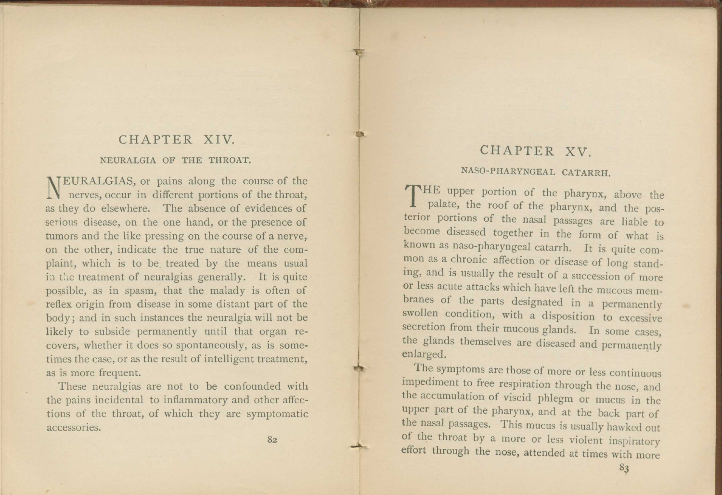## CHAPTER XIV.

#### NEURALGIA OF THE THROAT.

N MEURALGIAS, or pains along the course of the nerves, occur in different portions of the throat, as they do elsewhere. The absence of evidences of serious disease, on the one hand, or the presence of tumors and the like pressing on the course of a nerve, on the other, indicate the true nature of the complaint, which is to be treated by the means usual in the treatment of neuralgias generally. It is quite possible, as in spasm, that the malady is often of reflex origin from disease in some distant part of the body; and in such instances the neuralgia will not be likely to subside permanently until that organ recovers, whether it does so spontaneously, as is sometimes the case, or as the result of intelligent treatment, as is more frequent.

These neuralgias are not to be confounded with the pains incidental to inflammatory and other affections of the throat, of which they are symptomatic accessories.

#### 8z

## CHAPTER XV.

## NASO-PHARYNGEAL CATARRH.

THE upper portion of the pharynx, above the plate, the roof of the pharynx, and the pospalate, the roof of the pharynx, and the posterior portions of the nasal passages are liable to become diseased together in the form of what is known as naso-pharyngeal catarrh. It is quite common as a chronic affection or disease of long standing, and is usually the result of a succession of more or less acute attacks which have left the mucous membranes of the parts designated in a permanently swollen condition, with a disposition to excessive secretion from their mucous glands. In some cases, the glands themselves are diseased and permanently enlarged.

The symptoms are those of more or less continuous impediment to free respiration through the nose, and the accumulation of viscid phlegm or mucus in the upper part of the pharynx, and at the back part of the nasal passages. This mucus is usually hawked out of the throat by a more or less violent inspiratory effort through the nose, attended at times with more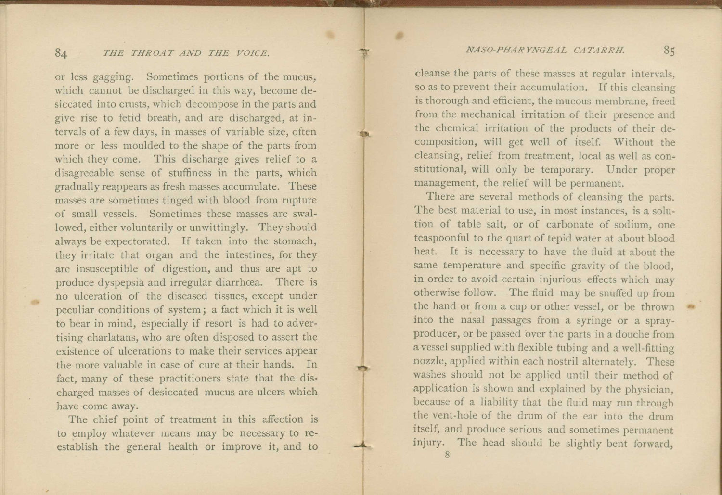### 84 *THE THROAT AND THE VOICE*.

or less gagging. Sometimes portions of the mucus, which cannot be discharged in this way, become desiccated into crusts, which decompose in the parts and give rise to fetid breath, and are discharged, at intervals of a few days, in masses of variable size, often more or less moulded to the shape of the parts from which they come. This discharge gives relief to a disagreeable sense of stuffiness in the parts, which gradually reappears as fresh masses accumulate. These masses are sometimes tinged with blood from rupture of small vessels. Sometimes these masses .are swallowed, either voluntarily or unwittingly. They should always be expectorated. If taken into the stomach, they irritate that organ and the intestines, for they are insusceptible of digestion, and thus are apt to produce dyspepsia and irregular diarrhoea. There is no ulceration of the diseased tissues, except under peculiar conditions of system; a fact which it is well to bear in mind, especially if resort is had to advertising charlatans, who are often disposed to assert the existence of ulcerations to make their services appear the more valuable in case of cure at their hands. In fact, many of these practitioners state that the discharged masses of desiccated mucus are ulcers which have come away.

**COL** 

The chief point of treatment in this affection is to employ whatever means may be necessary to reestablish the general health or improve it, and to

cleanse the parts of these masses at regular intervals, so as to prevent their accumulation. If this cleansing is thorough and efficient, the mucous membrane, freed from the mechanical irritation of their presence and the chemical irritation of the products of their decomposition, will get well of itself. Without the cleansing, relief from treatment, local as well as constitutional, will only be temporary. Under proper management, the relief will be permanent.

There are several methods of cleansing the parts. The best material to use, in most instances, is a solution of table salt, or of carbonate of sodium, one teaspoonful to the quart of tepid water at about blood heat. It is necessary to have the fluid at about the same temperature and specific gravity of the blood, in order to avoid certain injurious effects which may otherwise follow. The fluid may be snuffed up from the hand or from a cup or other vessel, or be thrown into the nasal passages from a syringe or a sprayproducer, or be passed over the parts in a douche from a vessel supplied with flexible tubing and a well-fitting nozzle, applied within each nostril alternately. These washes should not be applied until their method of application is shown and explained by the physician, because of a liability that the fluid may run through the vent-hole of the drum of the ear into the drum itself, and produce serious and sometimes permanent injury. The head should be slightly bent forward,

8

•